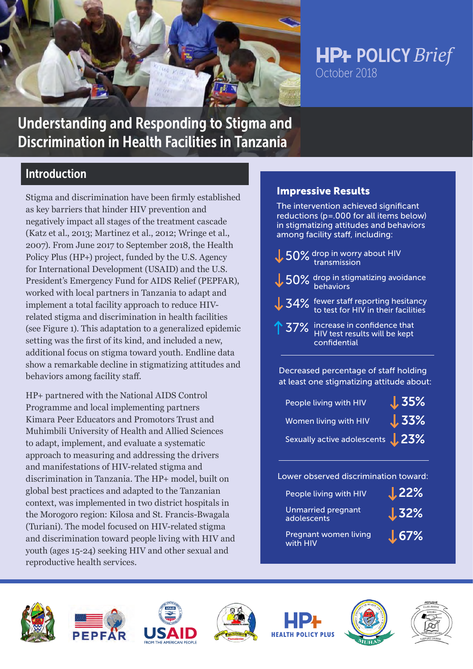

# **HP+ POLICY Brief** October 2018

# Understanding and Responding to Stigma and Discrimination in Health Facilities in Tanzania

## Introduction

Stigma and discrimination have been firmly established as key barriers that hinder HIV prevention and negatively impact all stages of the treatment cascade (Katz et al., 2013; Martinez et al., 2012; Wringe et al., 2007). From June 2017 to September 2018, the Health Policy Plus (HP+) project, funded by the U.S. Agency for International Development (USAID) and the U.S. President's Emergency Fund for AIDS Relief (PEPFAR), worked with local partners in Tanzania to adapt and implement a total facility approach to reduce HIVrelated stigma and discrimination in health facilities (see Figure 1). This adaptation to a generalized epidemic setting was the first of its kind, and included a new, additional focus on stigma toward youth. Endline data show a remarkable decline in stigmatizing attitudes and behaviors among facility staff.

HP+ partnered with the National AIDS Control Programme and local implementing partners Kimara Peer Educators and Promotors Trust and Muhimbili University of Health and Allied Sciences to adapt, implement, and evaluate a systematic approach to measuring and addressing the drivers and manifestations of HIV-related stigma and discrimination in Tanzania. The HP+ model, built on global best practices and adapted to the Tanzanian context, was implemented in two district hospitals in the Morogoro region: Kilosa and St. Francis-Bwagala (Turiani). The model focused on HIV-related stigma and discrimination toward people living with HIV and youth (ages 15-24) seeking HIV and other sexual and reproductive health services.

### Impressive Results

The intervention achieved significant reductions (p=.000 for all items below) in stigmatizing attitudes and behaviors among facility staff, including:

- 50% drop in worry about HIV transmission
- 50% drop in stigmatizing avoidance behaviors
- 34% fewer staff reporting hesitancy to test for HIV in their facilities
	- 37% increase in confidence that HIV test results will be kept confidential

Decreased percentage of staff holding at least one stigmatizing attitude about:

| People living with HIV                 | $\sqrt{35\%}$ |
|----------------------------------------|---------------|
| Women living with <b>HIV</b>           | $\sqrt{33\%}$ |
| Sexually active adolescents <b>23%</b> |               |

Lower observed discrimination toward:

| People living with HIV                   | $L$ 22%       |
|------------------------------------------|---------------|
| <b>Unmarried pregnant</b><br>adolescents | $J_{32\%}$    |
| Pregnant women living<br>with HIV        | $\sqrt{67\%}$ |













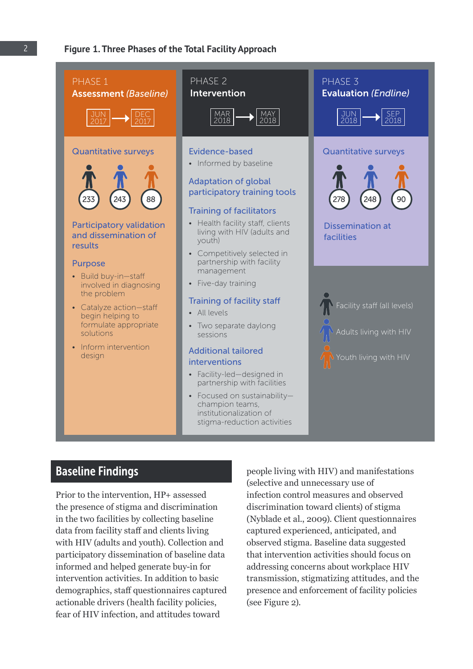

Prior to the intervention, HP+ assessed the presence of stigma and discrimination in the two facilities by collecting baseline data from facility staff and clients living with HIV (adults and youth). Collection and participatory dissemination of baseline data informed and helped generate buy-in for intervention activities. In addition to basic demographics, staff questionnaires captured actionable drivers (health facility policies, fear of HIV infection, and attitudes toward

(selective and unnecessary use of infection control measures and observed discrimination toward clients) of stigma (Nyblade et al., 2009). Client questionnaires captured experienced, anticipated, and observed stigma. Baseline data suggested that intervention activities should focus on addressing concerns about workplace HIV transmission, stigmatizing attitudes, and the presence and enforcement of facility policies (see Figure 2).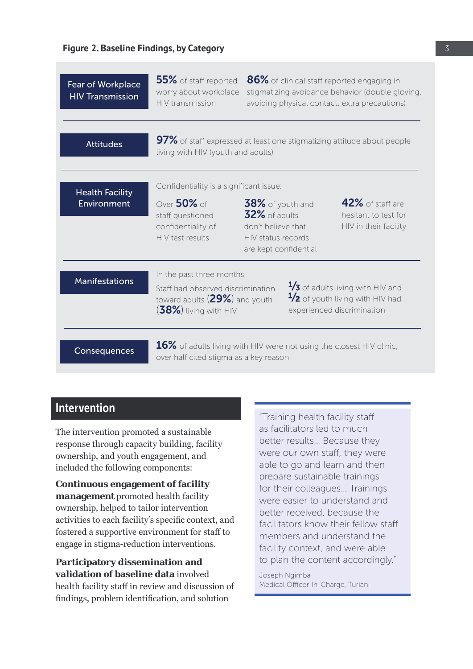| Fear of Workplace<br><b>HIV</b> Transmission | 55% of staff reported<br>worry about workplace<br>HIV transmission                                                             |                                                                                                           | 86% of clinical staff reported engaging in<br>stigmatizing avoidance behavior (double gloving,<br>avoiding physical contact, extra precautions) |
|----------------------------------------------|--------------------------------------------------------------------------------------------------------------------------------|-----------------------------------------------------------------------------------------------------------|-------------------------------------------------------------------------------------------------------------------------------------------------|
| <b>Attitudes</b>                             | living with HIV (youth and adults)                                                                                             |                                                                                                           | 97% of staff expressed at least one stigmatizing attitude about people                                                                          |
| <b>Health Facility</b><br>Environment        | Confidentiality is a significant issue:<br>Over $50\%$ of<br>staff questioned<br>confidentiality of<br>HIV test results        | $38\%$ of youth and<br>32% of adults<br>don't believe that<br>HIV status records<br>are kept confidential | 42% of staff are<br>hesitant to test for<br>HIV in their facility                                                                               |
| <b>Manifestations</b>                        | In the past three months:<br>Staff had observed discrimination<br>toward adults $(29\%)$ and youth<br>$(38\%)$ living with HIV |                                                                                                           | $\frac{1}{3}$ of adults living with HIV and<br>$\frac{1}{2}$ of youth living with HIV had<br>experienced discrimination                         |
| Consequences                                 | $16\%$ of adults living with HIV were not using the closest HIV clinic;<br>over half cited stigma as a key reason              |                                                                                                           |                                                                                                                                                 |

### Intervention

The intervention promoted a sustainable response through capacity building, facility ownership, and youth engagement, and included the following components:

**Continuous engagement of facility management** promoted health facility ownership, helped to tailor intervention activities to each facility's specific context, and fostered a supportive environment for staff to engage in stigma-reduction interventions.

**Participatory dissemination and validation of baseline data** involved health facility staff in review and discussion of findings, problem identification, and solution

"Training health facility staff as facilitators led to much better results… Because they were our own staff, they were able to go and learn and then prepare sustainable trainings for their colleagues… Trainings were easier to understand and better received, because the facilitators know their fellow staff members and understand the facility context, and were able to plan the content accordingly."

Joseph Ngimba Medical Officer-In-Charge, Turiani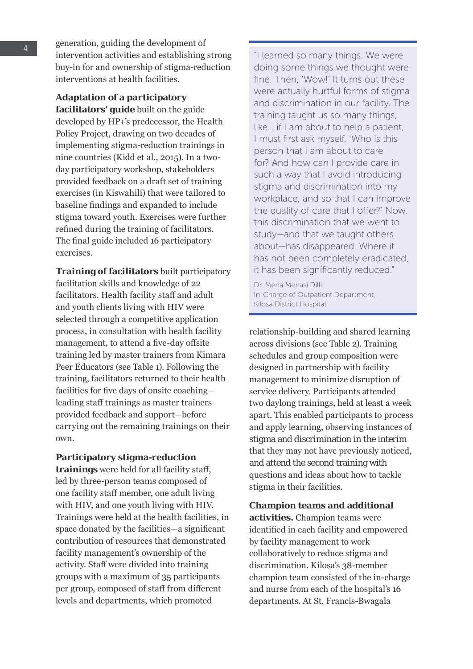generation, guiding the development of intervention activities and establishing strong buy-in for and ownership of stigma-reduction interventions at health facilities.

**Adaptation of a participatory facilitators' guide** built on the guide developed by HP+'s predecessor, the Health Policy Project, drawing on two decades of implementing stigma-reduction trainings in nine countries (Kidd et al., 2015). In a twoday participatory workshop, stakeholders provided feedback on a draft set of training exercises (in Kiswahili) that were tailored to baseline findings and expanded to include stigma toward youth. Exercises were further refined during the training of facilitators. The final guide included 16 participatory exercises.

**Training of facilitators** built participatory facilitation skills and knowledge of 22 facilitators. Health facility staff and adult and youth clients living with HIV were selected through a competitive application process, in consultation with health facility management, to attend a five-day offsite training led by master trainers from Kimara Peer Educators (see Table 1). Following the training, facilitators returned to their health facilities for five days of onsite coaching leading staff trainings as master trainers provided feedback and support—before carrying out the remaining trainings on their own.

**Participatory stigma-reduction** 

**trainings** were held for all facility staff, led by three-person teams composed of one facility staff member, one adult living with HIV, and one youth living with HIV. Trainings were held at the health facilities, in space donated by the facilities—a significant contribution of resources that demonstrated facility management's ownership of the activity. Staff were divided into training groups with a maximum of 35 participants per group, composed of staff from different levels and departments, which promoted

"I learned so many things. We were doing some things we thought were fine. Then, 'Wow!' It turns out these were actually hurtful forms of stigma and discrimination in our facility. The training taught us so many things, like… if I am about to help a patient, I must first ask myself, 'Who is this person that I am about to care for? And how can I provide care in such a way that I avoid introducing stigma and discrimination into my workplace, and so that I can improve the quality of care that I offer?' Now, this discrimination that we went to study—and that we taught others about—has disappeared. Where it has not been completely eradicated, it has been significantly reduced."

Dr. Mena Menasi Dilli In-Charge of Outpatient Department, Kilosa District Hospital

relationship-building and shared learning across divisions (see Table 2). Training schedules and group composition were designed in partnership with facility management to minimize disruption of service delivery. Participants attended two daylong trainings, held at least a week apart. This enabled participants to process and apply learning, observing instances of stigma and discrimination in the interim that they may not have previously noticed, and attend the second training with questions and ideas about how to tackle stigma in their facilities.

**Champion teams and additional activities.** Champion teams were identified in each facility and empowered by facility management to work collaboratively to reduce stigma and discrimination. Kilosa's 38-member champion team consisted of the in-charge and nurse from each of the hospital's 16 departments. At St. Francis-Bwagala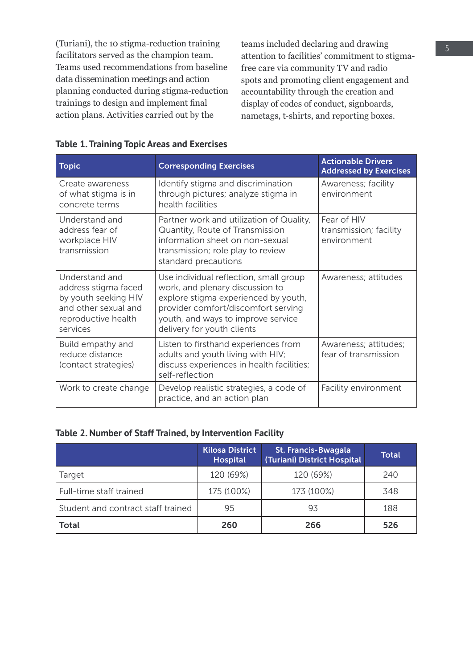(Turiani), the 10 stigma-reduction training facilitators served as the champion team. Teams used recommendations from baseline data dissemination meetings and action planning conducted during stigma-reduction trainings to design and implement final action plans. Activities carried out by the

teams included declaring and drawing attention to facilities' commitment to stigmafree care via community TV and radio spots and promoting client engagement and accountability through the creation and display of codes of conduct, signboards, nametags, t-shirts, and reporting boxes.

| <b>Topic</b>                                                                                                              | <b>Corresponding Exercises</b>                                                                                                                                                                                               | <b>Actionable Drivers</b><br><b>Addressed by Exercises</b> |
|---------------------------------------------------------------------------------------------------------------------------|------------------------------------------------------------------------------------------------------------------------------------------------------------------------------------------------------------------------------|------------------------------------------------------------|
| Create awareness<br>of what stigma is in<br>concrete terms                                                                | Identify stigma and discrimination<br>through pictures; analyze stigma in<br>health facilities                                                                                                                               | Awareness; facility<br>environment                         |
| Understand and<br>address fear of<br>workplace HIV<br>transmission                                                        | Partner work and utilization of Quality,<br>Quantity, Route of Transmission<br>information sheet on non-sexual<br>transmission; role play to review<br>standard precautions                                                  | Fear of HIV<br>transmission; facility<br>environment       |
| Understand and<br>address stigma faced<br>by youth seeking HIV<br>and other sexual and<br>reproductive health<br>services | Use individual reflection, small group<br>work, and plenary discussion to<br>explore stigma experienced by youth,<br>provider comfort/discomfort serving<br>youth, and ways to improve service<br>delivery for youth clients | Awareness; attitudes                                       |
| Build empathy and<br>reduce distance<br>(contact strategies)                                                              | Listen to firsthand experiences from<br>adults and youth living with HIV;<br>discuss experiences in health facilities;<br>self-reflection                                                                                    | Awareness; attitudes;<br>fear of transmission              |
| Work to create change                                                                                                     | Develop realistic strategies, a code of<br>practice, and an action plan                                                                                                                                                      | Facility environment                                       |

#### **Table 1. Training Topic Areas and Exercises**

#### **Table 2. Number of Staff Trained, by Intervention Facility**

|                                    | <b>Kilosa District</b><br><b>Hospital</b> | <b>St. Francis-Bwagala</b><br>(Turiani) District Hospital | <b>Total</b> |
|------------------------------------|-------------------------------------------|-----------------------------------------------------------|--------------|
| Target                             | 120 (69%)                                 | 120 (69%)                                                 | 240          |
| Full-time staff trained            | 175 (100%)                                | 173 (100%)                                                | 348          |
| Student and contract staff trained | 95                                        | 93                                                        | 188          |
| <b>Total</b>                       | 260                                       | 266                                                       | 526          |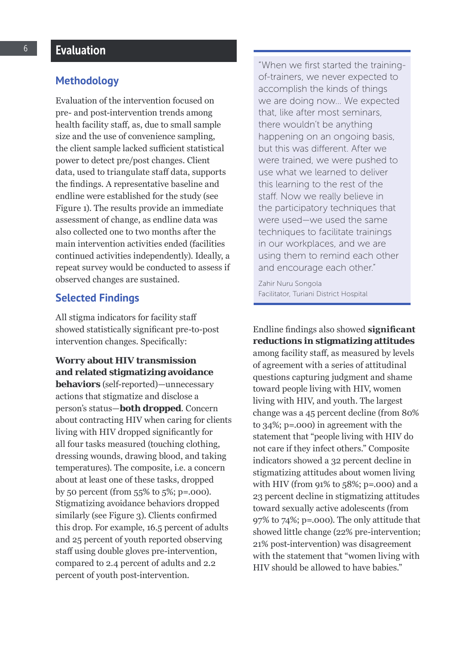#### **Methodology**

Evaluation of the intervention focused on pre- and post-intervention trends among health facility staff, as, due to small sample size and the use of convenience sampling, the client sample lacked sufficient statistical power to detect pre/post changes. Client data, used to triangulate staff data, supports the findings. A representative baseline and endline were established for the study (see Figure 1). The results provide an immediate assessment of change, as endline data was also collected one to two months after the main intervention activities ended (facilities continued activities independently). Ideally, a repeat survey would be conducted to assess if observed changes are sustained.

#### **Selected Findings**

All stigma indicators for facility staff showed statistically significant pre-to-post intervention changes. Specifically:

**Worry about HIV transmission and related stigmatizing avoidance behaviors** (self-reported)—unnecessary actions that stigmatize and disclose a person's status—**both dropped**. Concern about contracting HIV when caring for clients living with HIV dropped significantly for all four tasks measured (touching clothing, dressing wounds, drawing blood, and taking temperatures). The composite, i.e. a concern about at least one of these tasks, dropped by 50 percent (from 55% to 5%; p=.000). Stigmatizing avoidance behaviors dropped similarly (see Figure 3). Clients confirmed this drop. For example, 16.5 percent of adults and 25 percent of youth reported observing staff using double gloves pre-intervention, compared to 2.4 percent of adults and 2.2 percent of youth post-intervention.

"When we first started the trainingof-trainers, we never expected to accomplish the kinds of things we are doing now… We expected that, like after most seminars, there wouldn't be anything happening on an ongoing basis, but this was different. After we were trained, we were pushed to use what we learned to deliver this learning to the rest of the staff. Now we really believe in the participatory techniques that were used—we used the same techniques to facilitate trainings in our workplaces, and we are using them to remind each other and encourage each other."

Zahir Nuru Songola Facilitator, Turiani District Hospital

Endline findings also showed **significant reductions in stigmatizing attitudes** among facility staff, as measured by levels of agreement with a series of attitudinal questions capturing judgment and shame toward people living with HIV, women living with HIV, and youth. The largest change was a 45 percent decline (from 80% to 34%; p=.000) in agreement with the statement that "people living with HIV do not care if they infect others." Composite indicators showed a 32 percent decline in stigmatizing attitudes about women living with HIV (from  $91\%$  to  $58\%$ ; p=.000) and a 23 percent decline in stigmatizing attitudes toward sexually active adolescents (from 97% to 74%; p=.000). The only attitude that showed little change (22% pre-intervention; 21% post-intervention) was disagreement with the statement that "women living with HIV should be allowed to have babies."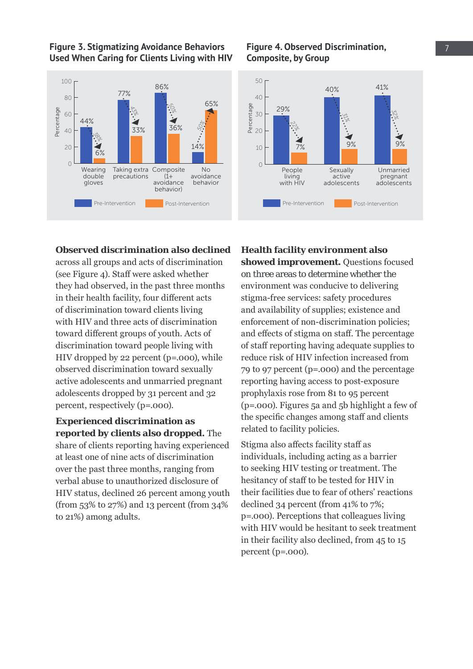**Figure 3. Stigmatizing Avoidance Behaviors Used When Caring for Clients Living with HIV**



#### **Figure 4. Observed Discrimination,** 7 **Composite, by Group**



### 20 40 **Observed discrimination also declined**

across all groups and acts of discrimination 0 (see Figure 4). Staff were asked whether they had observed, in the past three months in their health facility, four different acts of discrimination toward clients living with HIV and three acts of discrimination toward different groups of youth. Acts of discrimination toward people living with HIV dropped by 22 percent (p=.000), while observed discrimination toward sexually active adolescents and unmarried pregnant adolescents dropped by 31 percent and 32 percent, respectively (p=.000).

#### **Experienced discrimination as reported by clients also dropped.** The

share of clients reporting having experienced at least one of nine acts of discrimination over the past three months, ranging from verbal abuse to unauthorized disclosure of HIV status, declined 26 percent among youth (from 53% to 27%) and 13 percent (from 34% to 21%) among adults.

**Health facility environment also showed improvement.** Questions focused on three areas to determine whether the environment was conducive to delivering stigma-free services: safety procedures and availability of supplies; existence and enforcement of non-discrimination policies; and effects of stigma on staff. The percentage of staff reporting having adequate supplies to reduce risk of HIV infection increased from 79 to 97 percent (p=.000) and the percentage reporting having access to post-exposure prophylaxis rose from 81 to 95 percent (p=.000). Figures 5a and 5b highlight a few of the specific changes among staff and clients related to facility policies.

Stigma also affects facility staff as individuals, including acting as a barrier to seeking HIV testing or treatment. The hesitancy of staff to be tested for HIV in their facilities due to fear of others' reactions declined 34 percent (from 41% to 7%; p=.000). Perceptions that colleagues living with HIV would be hesitant to seek treatment in their facility also declined, from 45 to 15 percent (p=.000).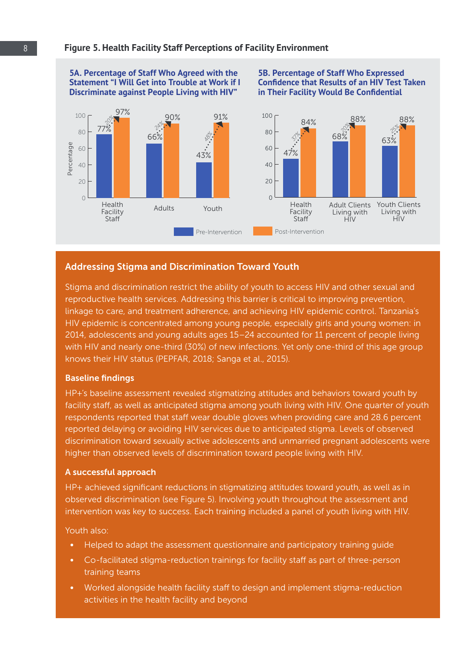#### **Figure 5. Health Facility Staff Perceptions of Facility Environment**

#### **5A. Percentage of Staff Who Agreed with the 5B. Percentage of Staff Who Expressed Statement "I Will Get into Trouble at Work if I Confidence that Results of an HIV Test Taken Discriminate against People Living with HIV" in Their Facility Would Be Confidential** 97%<br>**Participal 91%** 91% 100 100 *20%*  $\sim$  84% 88% 88% *24% 20% 25%* 77% 80 80  $\circ$   $\vdash$   $\circ$   $\circ$   $\cdot$   $\bullet$ *48%* 66% *37%* 68% 63% Percentage Percentage 60 60  $47%$ 43% 40 40  $20$  $20$  $\Omega$ 0 Health Health Adult Clients Youth Clients Adults Youth Facility Facility Living with Living with 100 Post-Intervention Control Control Control Control Control Control Control Control Control Control Control<br>100 Post-Intervention Control Control Control Control Control Control Control Control Control Control Control ...<br>HIV Staff **Staff**  $HIV$ Pre-Intervention Post-Intervention

### Addressing Stigma and Discrimination Toward Youth

linkage to care, and treatment adherence, and achieving HIV epidemic control. Tanzania's reproductive health services. Addressing this barrier is critical to improving prevention, Stigma and discrimination restrict the ability of youth to access HIV and other sexual and HIV epidemic is concentrated among young people, especially girls and young women: in 2014, adolescents and young adults ages 15–24 accounted for 11 percent of people living with HIV and nearly one-third (30%) of new infections. Yet only one-third of this age group knows their HIV status (PEPFAR, 2018; Sanga et al., 2015).

#### Baseline findings

HP+'s baseline assessment revealed stigmatizing attitudes and behaviors toward youth by facility staff, as well as anticipated stigma among youth living with HIV. One quarter of youth respondents reported that staff wear double gloves when providing care and 28.6 percent reported delaying or avoiding HIV services due to anticipated stigma. Levels of observed discrimination toward sexually active adolescents and unmarried pregnant adolescents were higher than observed levels of discrimination toward people living with HIV.

#### A successful approach

HP+ achieved significant reductions in stigmatizing attitudes toward youth, as well as in observed discrimination (see Figure 5). Involving youth throughout the assessment and intervention was key to success. Each training included a panel of youth living with HIV.

Youth also:

- **•** Helped to adapt the assessment questionnaire and participatory training guide
- **•** Co-facilitated stigma-reduction trainings for facility staff as part of three-person training teams
- **•** Worked alongside health facility staff to design and implement stigma-reduction activities in the health facility and beyond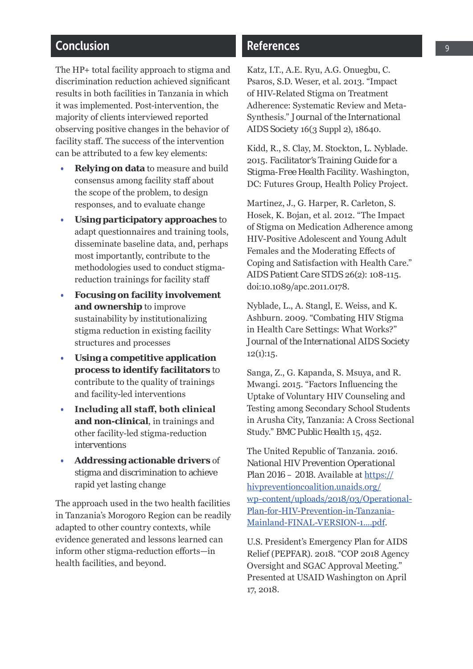### Conclusion

The HP+ total facility approach to stigma and discrimination reduction achieved significant results in both facilities in Tanzania in which it was implemented. Post-intervention, the majority of clients interviewed reported observing positive changes in the behavior of facility staff. The success of the intervention can be attributed to a few key elements:

- **Relying on data** to measure and build consensus among facility staff about the scope of the problem, to design responses, and to evaluate change
- **Using participatory approaches** to adapt questionnaires and training tools, disseminate baseline data, and, perhaps most importantly, contribute to the methodologies used to conduct stigmareduction trainings for facility staff
- **Focusing on facility involvement and ownership** to improve sustainability by institutionalizing stigma reduction in existing facility structures and processes
- **process to identify facilitators** to • **Using a competitive application**  contribute to the quality of trainings and facility-led interventions
- **Including all staff, both clinical and non-clinical**, in trainings and other facility-led stigma-reduction interventions
- **Addressing actionable drivers** of stigma and discrimination to achieve rapid yet lasting change

The approach used in the two health facilities in Tanzania's Morogoro Region can be readily adapted to other country contexts, while evidence generated and lessons learned can inform other stigma-reduction efforts—in health facilities, and beyond.

### References

Katz, I.T., A.E. Ryu, A.G. Onuegbu, C. Psaros, S.D. Weser, et al. 2013. "Impact of HIV-Related Stigma on Treatment Adherence: Systematic Review and Meta-Synthesis." *Journal of the International AIDS Society* 16(3 Suppl 2), 18640.

Kidd, R., S. Clay, M. Stockton, L. Nyblade. 2015. *Facilitator's Training Guide for a Stigma-Free Health Facility.* Washington, DC: Futures Group, Health Policy Project.

Martinez, J., G. Harper, R. Carleton, S. Hosek, K. Bojan, et al. 2012. "The Impact of Stigma on Medication Adherence among HIV-Positive Adolescent and Young Adult Females and the Moderating Effects of Coping and Satisfaction with Health Care." *AIDS Patient Care STDS* 26(2): 108-115. doi:10.1089/apc.2011.0178.

Nyblade, L., A. Stangl, E. Weiss, and K. Ashburn. 2009. "Combating HIV Stigma in Health Care Settings: What Works?" *Journal of the International AIDS Society*   $12(1):15.$ 

Sanga, Z., G. Kapanda, S. Msuya, and R. Mwangi. 2015. "Factors Influencing the Uptake of Voluntary HIV Counseling and Testing among Secondary School Students in Arusha City, Tanzania: A Cross Sectional Study." *BMC Public Health* 15, 452.

The United Republic of Tanzania. 2016. *National HIV Prevention Operational Plan 2016 – 2018*. Available at https:// hivpreventioncoalition.unaids.org/ wp-content/uploads/2018/03/Operational-Plan-for-HIV-Prevention-in-Tanzania-Mainland-FINAL-VERSION-1....pdf.

U.S. President's Emergency Plan for AIDS Relief (PEPFAR). 2018. "COP 2018 Agency Oversight and SGAC Approval Meeting." Presented at USAID Washington on April 17, 2018.